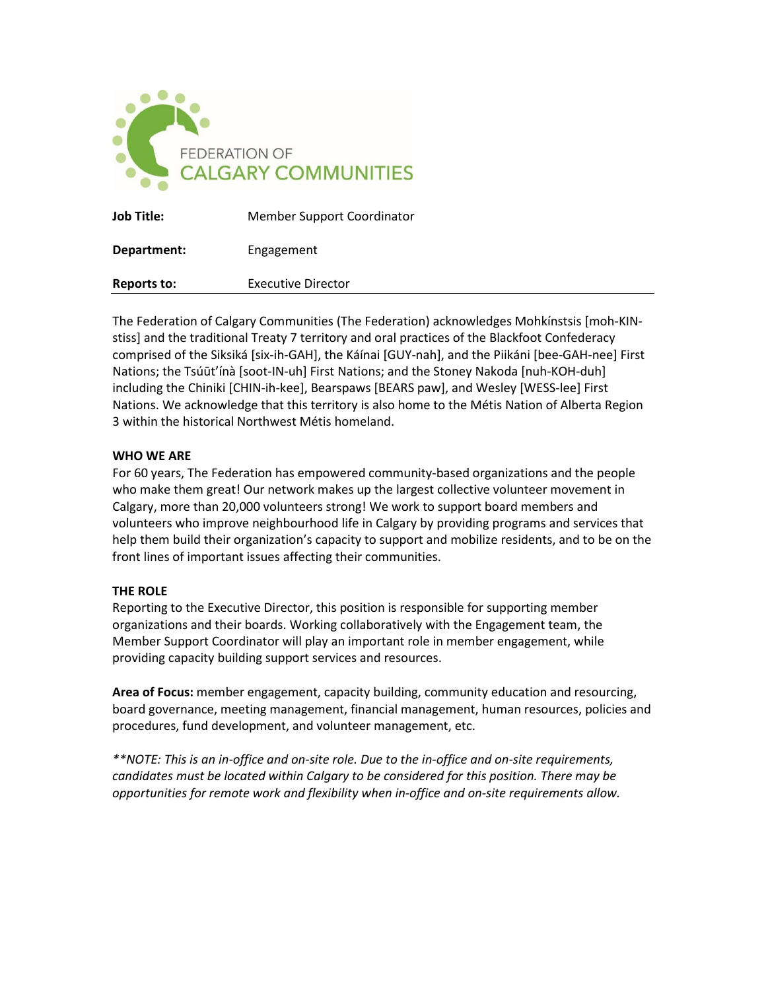

| <b>Job Title:</b> | <b>Member Support Coordinator</b> |
|-------------------|-----------------------------------|
| Department:       | Engagement                        |
| Reports to:       | Executive Director                |

The Federation of Calgary Communities (The Federation) acknowledges Mohkínstsis [moh-KINstiss] and the traditional Treaty 7 territory and oral practices of the Blackfoot Confederacy comprised of the Siksiká [six-ih-GAH], the Káínai [GUY-nah], and the Piikáni [bee-GAH-nee] First Nations; the Tsúūt'ínà [soot-IN-uh] First Nations; and the Stoney Nakoda [nuh-KOH-duh] including the Chiniki [CHIN-ih-kee], Bearspaws [BEARS paw], and Wesley [WESS-lee] First Nations. We acknowledge that this territory is also home to the Métis Nation of Alberta Region 3 within the historical Northwest Métis homeland.

### **WHO WE ARE**

For 60 years, The Federation has empowered community-based organizations and the people who make them great! Our network makes up the largest collective volunteer movement in Calgary, more than 20,000 volunteers strong! We work to support board members and volunteers who improve neighbourhood life in Calgary by providing programs and services that help them build their organization's capacity to support and mobilize residents, and to be on the front lines of important issues affecting their communities.

# **THE ROLE**

Reporting to the Executive Director, this position is responsible for supporting member organizations and their boards. Working collaboratively with the Engagement team, the Member Support Coordinator will play an important role in member engagement, while providing capacity building support services and resources.

**Area of Focus:** member engagement, capacity building, community education and resourcing, board governance, meeting management, financial management, human resources, policies and procedures, fund development, and volunteer management, etc.

*\*\*NOTE: This is an in-office and on-site role. Due to the in-office and on-site requirements, candidates must be located within Calgary to be considered for this position. There may be opportunities for remote work and flexibility when in-office and on-site requirements allow.*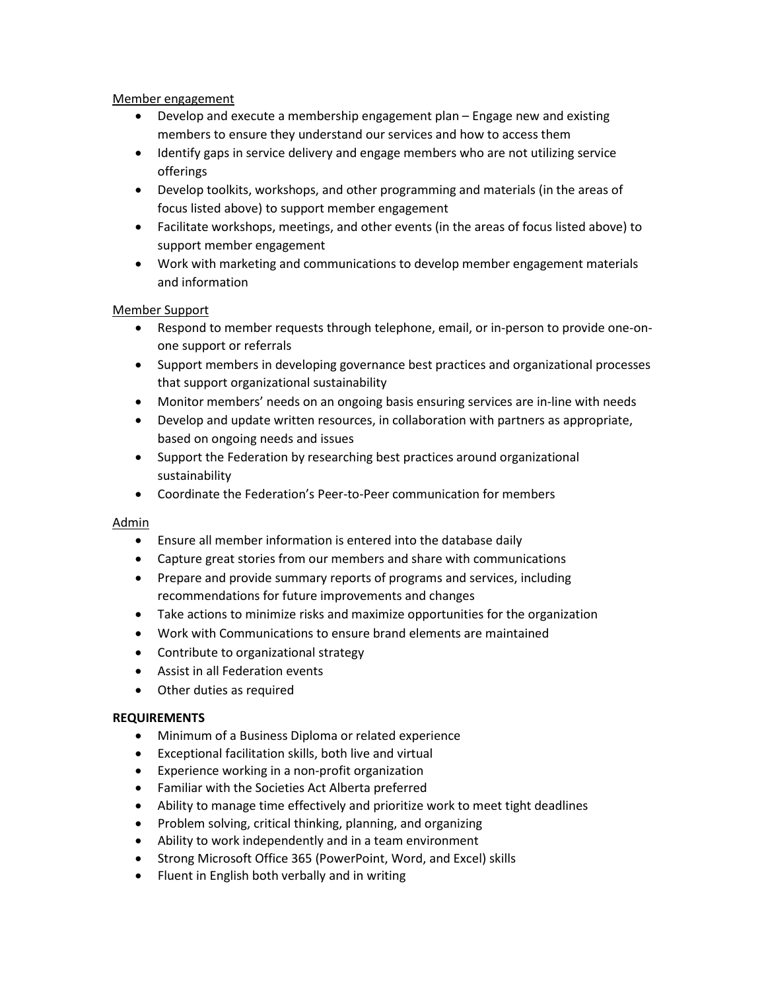# Member engagement

- Develop and execute a membership engagement plan Engage new and existing members to ensure they understand our services and how to access them
- Identify gaps in service delivery and engage members who are not utilizing service offerings
- Develop toolkits, workshops, and other programming and materials (in the areas of focus listed above) to support member engagement
- Facilitate workshops, meetings, and other events (in the areas of focus listed above) to support member engagement
- Work with marketing and communications to develop member engagement materials and information

# Member Support

- Respond to member requests through telephone, email, or in-person to provide one-onone support or referrals
- Support members in developing governance best practices and organizational processes that support organizational sustainability
- Monitor members' needs on an ongoing basis ensuring services are in-line with needs
- Develop and update written resources, in collaboration with partners as appropriate, based on ongoing needs and issues
- Support the Federation by researching best practices around organizational sustainability
- Coordinate the Federation's Peer-to-Peer communication for members

# Admin

- Ensure all member information is entered into the database daily
- Capture great stories from our members and share with communications
- Prepare and provide summary reports of programs and services, including recommendations for future improvements and changes
- Take actions to minimize risks and maximize opportunities for the organization
- Work with Communications to ensure brand elements are maintained
- Contribute to organizational strategy
- Assist in all Federation events
- Other duties as required

# **REQUIREMENTS**

- Minimum of a Business Diploma or related experience
- Exceptional facilitation skills, both live and virtual
- Experience working in a non-profit organization
- Familiar with the Societies Act Alberta preferred
- Ability to manage time effectively and prioritize work to meet tight deadlines
- Problem solving, critical thinking, planning, and organizing
- Ability to work independently and in a team environment
- Strong Microsoft Office 365 (PowerPoint, Word, and Excel) skills
- Fluent in English both verbally and in writing